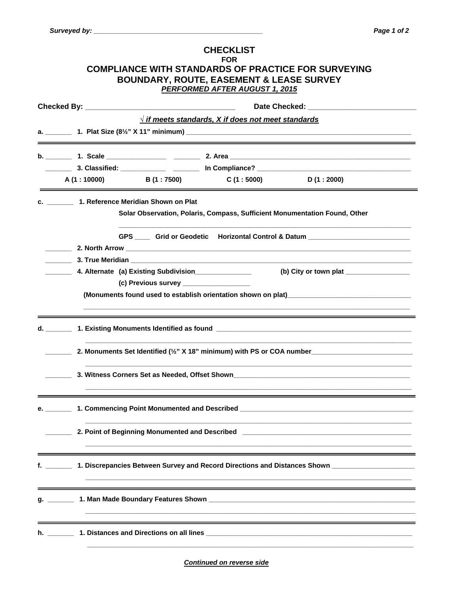|                                                                                                                                                                                                                               |             |                                         | <b>CHECKLIST</b>                                                           |                                                                                                                                                                                                                                |  |
|-------------------------------------------------------------------------------------------------------------------------------------------------------------------------------------------------------------------------------|-------------|-----------------------------------------|----------------------------------------------------------------------------|--------------------------------------------------------------------------------------------------------------------------------------------------------------------------------------------------------------------------------|--|
|                                                                                                                                                                                                                               |             |                                         | <b>FOR</b><br><b>COMPLIANCE WITH STANDARDS OF PRACTICE FOR SURVEYING</b>   |                                                                                                                                                                                                                                |  |
|                                                                                                                                                                                                                               |             |                                         | <b>BOUNDARY, ROUTE, EASEMENT &amp; LEASE SURVEY</b>                        |                                                                                                                                                                                                                                |  |
|                                                                                                                                                                                                                               |             |                                         | PERFORMED AFTER AUGUST 1, 2015                                             |                                                                                                                                                                                                                                |  |
|                                                                                                                                                                                                                               |             |                                         |                                                                            |                                                                                                                                                                                                                                |  |
|                                                                                                                                                                                                                               |             |                                         | $\sqrt{t}$ if meets standards, X if does not meet standards                |                                                                                                                                                                                                                                |  |
|                                                                                                                                                                                                                               |             |                                         |                                                                            | a. ________ 1. Plat Size (81/2" X 11" minimum) _________________________________                                                                                                                                               |  |
|                                                                                                                                                                                                                               |             |                                         |                                                                            |                                                                                                                                                                                                                                |  |
|                                                                                                                                                                                                                               |             |                                         |                                                                            |                                                                                                                                                                                                                                |  |
|                                                                                                                                                                                                                               |             |                                         |                                                                            |                                                                                                                                                                                                                                |  |
|                                                                                                                                                                                                                               | A (1:10000) | B(1:7500)                               | $C(1:5000)$ D(1:2000)                                                      |                                                                                                                                                                                                                                |  |
|                                                                                                                                                                                                                               |             | c. 1. Reference Meridian Shown on Plat  |                                                                            |                                                                                                                                                                                                                                |  |
|                                                                                                                                                                                                                               |             |                                         | Solar Observation, Polaris, Compass, Sufficient Monumentation Found, Other |                                                                                                                                                                                                                                |  |
|                                                                                                                                                                                                                               |             |                                         |                                                                            |                                                                                                                                                                                                                                |  |
|                                                                                                                                                                                                                               |             |                                         |                                                                            | GPS ______ Grid or Geodetic Horizontal Control & Datum _________________________                                                                                                                                               |  |
|                                                                                                                                                                                                                               |             |                                         |                                                                            |                                                                                                                                                                                                                                |  |
|                                                                                                                                                                                                                               |             |                                         |                                                                            |                                                                                                                                                                                                                                |  |
|                                                                                                                                                                                                                               |             |                                         | 4. Alternate (a) Existing Subdivision________________                      | (b) City or town plat $\frac{1}{2}$                                                                                                                                                                                            |  |
|                                                                                                                                                                                                                               |             | (c) Previous survey ___________________ |                                                                            |                                                                                                                                                                                                                                |  |
|                                                                                                                                                                                                                               |             |                                         |                                                                            | (Monuments found used to establish orientation shown on plat) [2012] [2012] [2012] [2012] [2012] [2012] [2012] [3012] [3012] [3012] [3012] [3012] [3012] [3012] [3012] [3012] [3012] [3012] [3012] [3012] [3012] [3012] [3012] |  |
|                                                                                                                                                                                                                               |             |                                         |                                                                            |                                                                                                                                                                                                                                |  |
|                                                                                                                                                                                                                               |             |                                         |                                                                            |                                                                                                                                                                                                                                |  |
|                                                                                                                                                                                                                               |             |                                         |                                                                            |                                                                                                                                                                                                                                |  |
|                                                                                                                                                                                                                               |             |                                         |                                                                            | 2. Monuments Set Identified (1/2" X 18" minimum) with PS or COA number                                                                                                                                                         |  |
|                                                                                                                                                                                                                               |             |                                         |                                                                            |                                                                                                                                                                                                                                |  |
|                                                                                                                                                                                                                               |             |                                         |                                                                            | 3. Witness Corners Set as Needed, Offset Shown__________________________________                                                                                                                                               |  |
|                                                                                                                                                                                                                               |             |                                         |                                                                            |                                                                                                                                                                                                                                |  |
| e. A contract of the contract of the contract of the contract of the contract of the contract of the contract of the contract of the contract of the contract of the contract of the contract of the contract of the contract |             |                                         |                                                                            | 1. Commencing Point Monumented and Described ___________________________________                                                                                                                                               |  |
|                                                                                                                                                                                                                               |             |                                         |                                                                            |                                                                                                                                                                                                                                |  |
|                                                                                                                                                                                                                               |             |                                         |                                                                            | 2. Point of Beginning Monumented and Described _________________________________                                                                                                                                               |  |
|                                                                                                                                                                                                                               |             |                                         |                                                                            |                                                                                                                                                                                                                                |  |
|                                                                                                                                                                                                                               |             |                                         |                                                                            |                                                                                                                                                                                                                                |  |
|                                                                                                                                                                                                                               |             |                                         |                                                                            | f. __________ 1. Discrepancies Between Survey and Record Directions and Distances Shown __________________                                                                                                                     |  |
|                                                                                                                                                                                                                               |             |                                         |                                                                            |                                                                                                                                                                                                                                |  |
|                                                                                                                                                                                                                               |             |                                         |                                                                            |                                                                                                                                                                                                                                |  |
|                                                                                                                                                                                                                               |             |                                         |                                                                            |                                                                                                                                                                                                                                |  |
|                                                                                                                                                                                                                               |             |                                         |                                                                            |                                                                                                                                                                                                                                |  |
|                                                                                                                                                                                                                               |             |                                         |                                                                            |                                                                                                                                                                                                                                |  |
|                                                                                                                                                                                                                               |             |                                         |                                                                            |                                                                                                                                                                                                                                |  |

*Continued on reverse side*